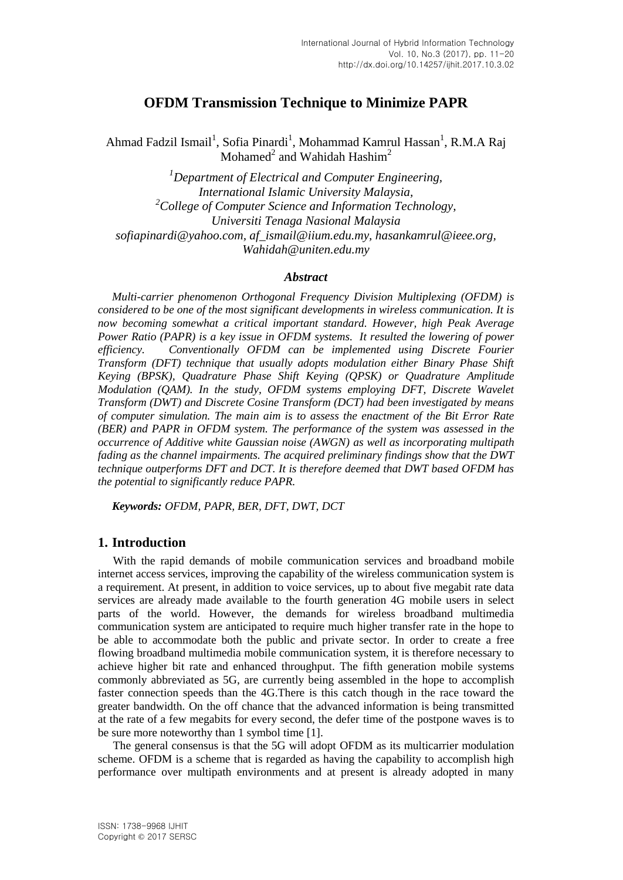# **OFDM Transmission Technique to Minimize PAPR**

Ahmad Fadzil Ismail<sup>1</sup>, Sofia Pinardi<sup>1</sup>, Mohammad Kamrul Hassan<sup>1</sup>, R.M.A Raj Mohamed<sup>2</sup> and Wahidah Hashim<sup>2</sup>

*<sup>1</sup>Department of Electrical and Computer Engineering, International Islamic University Malaysia, <sup>2</sup>College of Computer Science and Information Technology, Universiti Tenaga Nasional Malaysia sofiapinardi@yahoo.com, af\_ismail@iium.edu.my, hasankamrul@ieee.org, Wahidah@uniten.edu.my*

## *Abstract*

*Multi-carrier phenomenon Orthogonal Frequency Division Multiplexing (OFDM) is considered to be one of the most significant developments in wireless communication. It is now becoming somewhat a critical important standard. However, high Peak Average Power Ratio (PAPR) is a key issue in OFDM systems. It resulted the lowering of power efficiency. Conventionally OFDM can be implemented using Discrete Fourier Transform (DFT) technique that usually adopts modulation either Binary Phase Shift Keying (BPSK), Quadrature Phase Shift Keying (QPSK) or Quadrature Amplitude Modulation (QAM). In the study, OFDM systems employing DFT, Discrete Wavelet Transform (DWT) and Discrete Cosine Transform (DCT) had been investigated by means of computer simulation. The main aim is to assess the enactment of the Bit Error Rate (BER) and PAPR in OFDM system. The performance of the system was assessed in the occurrence of Additive white Gaussian noise (AWGN) as well as incorporating multipath fading as the channel impairments. The acquired preliminary findings show that the DWT technique outperforms DFT and DCT. It is therefore deemed that DWT based OFDM has the potential to significantly reduce PAPR.*

*Keywords: OFDM, PAPR, BER, DFT, DWT, DCT*

# **1. Introduction**

With the rapid demands of mobile communication services and broadband mobile internet access services, improving the capability of the wireless communication system is a requirement. At present, in addition to voice services, up to about five megabit rate data services are already made available to the fourth generation 4G mobile users in select parts of the world. However, the demands for wireless broadband multimedia communication system are anticipated to require much higher transfer rate in the hope to be able to accommodate both the public and private sector. In order to create a free flowing broadband multimedia mobile communication system, it is therefore necessary to achieve higher bit rate and enhanced throughput. The fifth generation mobile systems commonly abbreviated as 5G, are currently being assembled in the hope to accomplish faster connection speeds than the 4G.There is this catch though in the race toward the greater bandwidth. On the off chance that the advanced information is being transmitted at the rate of a few megabits for every second, the defer time of the postpone waves is to be sure more noteworthy than 1 symbol time [1].

The general consensus is that the 5G will adopt OFDM as its multicarrier modulation scheme. OFDM is a scheme that is regarded as having the capability to accomplish high performance over multipath environments and at present is already adopted in many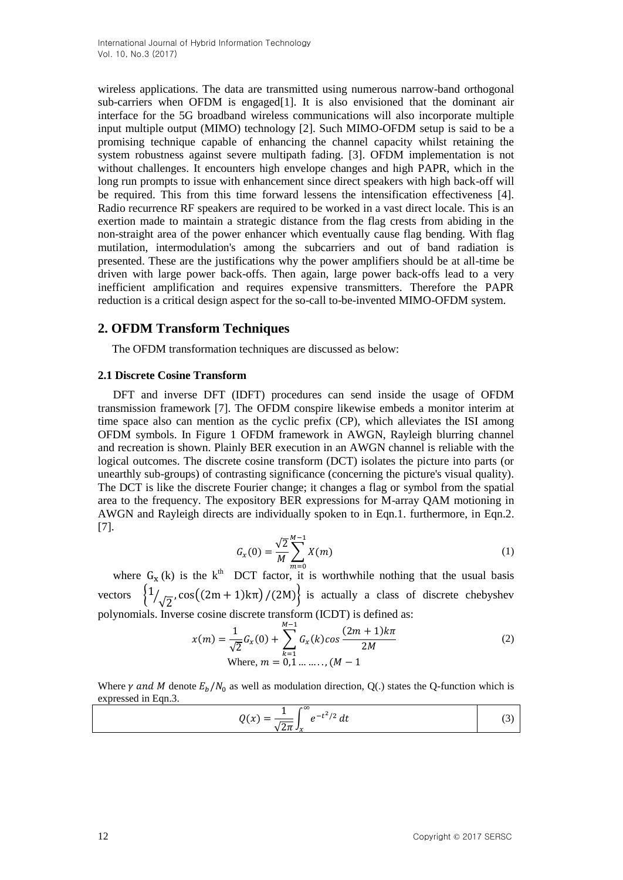wireless applications. The data are transmitted using numerous narrow-band orthogonal sub-carriers when OFDM is engaged [\[1\]](#page-7-0). It is also envisioned that the dominant air interface for the 5G broadband wireless communications will also incorporate multiple input multiple output (MIMO) technology [2]. Such MIMO-OFDM setup is said to be a promising technique capable of enhancing the channel capacity whilst retaining the system robustness against severe multipath fading. [3]. OFDM implementation is not without challenges. It encounters high envelope changes and high PAPR, which in the long run prompts to issue with enhancement since direct speakers with high back-off will be required. This from this time forward lessens the intensification effectiveness [4]. Radio recurrence RF speakers are required to be worked in a vast direct locale. This is an exertion made to maintain a strategic distance from the flag crests from abiding in the non-straight area of the power enhancer which eventually cause flag bending. With flag mutilation, intermodulation's among the subcarriers and out of band radiation is presented. These are the justifications why the power amplifiers should be at all-time be driven with large power back-offs. Then again, large power back-offs lead to a very inefficient amplification and requires expensive transmitters. Therefore the PAPR reduction is a critical design aspect for the so-call to-be-invented MIMO-OFDM system.

# **2. OFDM Transform Techniques**

The OFDM transformation techniques are discussed as below:

## **2.1 Discrete Cosine Transform**

DFT and inverse DFT (IDFT) procedures can send inside the usage of OFDM transmission framework [7]. The OFDM conspire likewise embeds a monitor interim at time space also can mention as the cyclic prefix (CP), which alleviates the ISI among OFDM symbols. In Figure 1 OFDM framework in AWGN, Rayleigh blurring channel and recreation is shown. Plainly BER execution in an AWGN channel is reliable with the logical outcomes. The discrete cosine transform (DCT) isolates the picture into parts (or unearthly sub-groups) of contrasting significance (concerning the picture's visual quality). The DCT is like the discrete Fourier change; it changes a flag or symbol from the spatial area to the frequency. The expository BER expressions for M-array QAM motioning in AWGN and Rayleigh directs are individually spoken to in Eqn.1. furthermore, in Eqn.2. [7].

$$
G_x(0) = \frac{\sqrt{2}}{M} \sum_{m=0}^{M-1} X(m)
$$
 (1)

where  $G_x$  (k) is the k<sup>th</sup> DCT factor, it is worthwhile nothing that the usual basis vectors  $\{1\}$  $\sqrt{2}$ , cos((2m + 1)k $\pi$ )/(2M) is actually a class of discrete chebyshev polynomials. Inverse cosine discrete transform (ICDT) is defined as:

$$
x(m) = \frac{1}{\sqrt{2}} G_x(0) + \sum_{k=1}^{M-1} G_x(k) \cos \frac{(2m+1)k\pi}{2M}
$$
  
Where,  $m = 0,1, \ldots, (M-1)$  (2)

Where  $\gamma$  and M denote  $E_h/N_0$  as well as modulation direction, Q(.) states the Q-function which is expressed in Eqn.3.

$$
Q(x) = \frac{1}{\sqrt{2\pi}} \int_{x}^{\infty} e^{-t^2/2} dt
$$
 (3)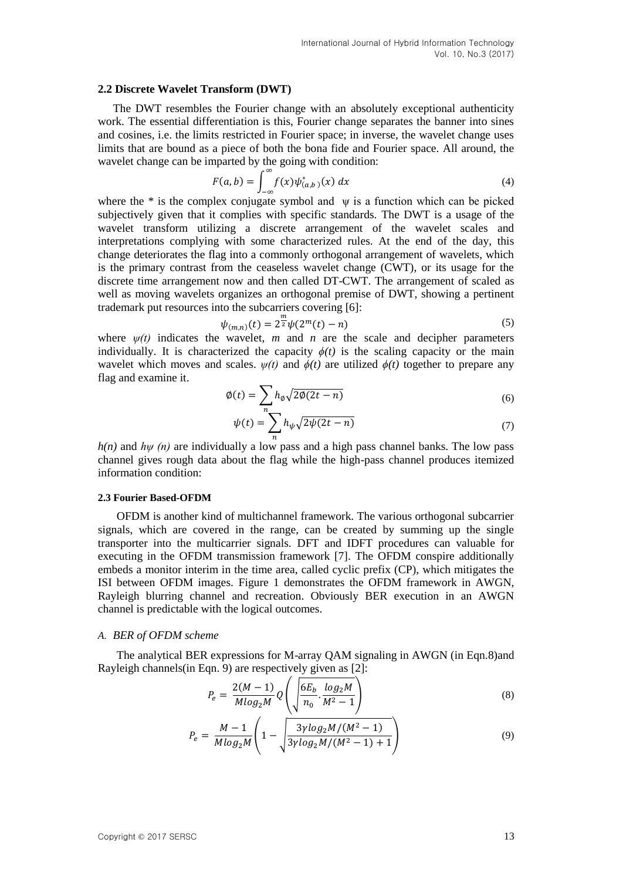#### **2.2 Discrete Wavelet Transform (DWT)**

The DWT resembles the Fourier change with an absolutely exceptional authenticity work. The essential differentiation is this, Fourier change separates the banner into sines and cosines, i.e. the limits restricted in Fourier space; in inverse, the wavelet change uses limits that are bound as a piece of both the bona fide and Fourier space. All around, the wavelet change can be imparted by the going with condition:

$$
F(a,b) = \int_{-\infty}^{\infty} f(x) \psi_{(a,b)}^*(x) dx
$$
\n(4)

where the  $*$  is the complex conjugate symbol and  $\psi$  is a function which can be picked subjectively given that it complies with specific standards. The DWT is a usage of the wavelet transform utilizing a discrete arrangement of the wavelet scales and interpretations complying with some characterized rules. At the end of the day, this change deteriorates the flag into a commonly orthogonal arrangement of wavelets, which is the primary contrast from the ceaseless wavelet change (CWT), or its usage for the discrete time arrangement now and then called DT-CWT. The arrangement of scaled as well as moving wavelets organizes an orthogonal premise of DWT, showing a pertinent trademark put resources into the subcarriers covering [6]:

$$
\psi_{(m,n)}(t) = 2^{\frac{m}{2}} \psi(2^m(t) - n)
$$
\n(5)

where  $\psi(t)$  indicates the wavelet, *m* and *n* are the scale and decipher parameters individually. It is characterized the capacity  $\phi(t)$  is the scaling capacity or the main wavelet which moves and scales.  $\psi(t)$  and  $\phi(t)$  are utilized  $\phi(t)$  together to prepare any flag and examine it.

$$
\phi(t) = \sum_{n} h_{\emptyset} \sqrt{2\phi(2t - n)} \tag{6}
$$

$$
\psi(t) = \sum_{n} h_{\psi} \sqrt{2\psi(2t - n)}\tag{7}
$$

*h(n)* and *hψ (n)* are individually a low pass and a high pass channel banks. The low pass channel gives rough data about the flag while the high-pass channel produces itemized information condition:

#### **2.3 Fourier Based-OFDM**

OFDM is another kind of multichannel framework. The various orthogonal subcarrier signals, which are covered in the range, can be created by summing up the single transporter into the multicarrier signals. DFT and IDFT procedures can valuable for executing in the OFDM transmission framework [7]. The OFDM conspire additionally embeds a monitor interim in the time area, called cyclic prefix (CP), which mitigates the ISI between OFDM images. Figure 1 demonstrates the OFDM framework in AWGN, Rayleigh blurring channel and recreation. Obviously BER execution in an AWGN channel is predictable with the logical outcomes.

### *A. BER of OFDM scheme*

The analytical BER expressions for M-array QAM signaling in AWGN (in Eqn.8)and Rayleigh channels(in Eqn. 9) are respectively given as [2]:

$$
P_e = \frac{2(M-1)}{M \log_2 M} Q \left( \sqrt{\frac{6E_b}{n_0} \cdot \frac{\log_2 M}{M^2 - 1}} \right)
$$
 (8)

$$
P_e = \frac{M-1}{M \log_2 M} \left( 1 - \sqrt{\frac{3\gamma \log_2 M/(M^2 - 1)}{3\gamma \log_2 M/(M^2 - 1) + 1}} \right) \tag{9}
$$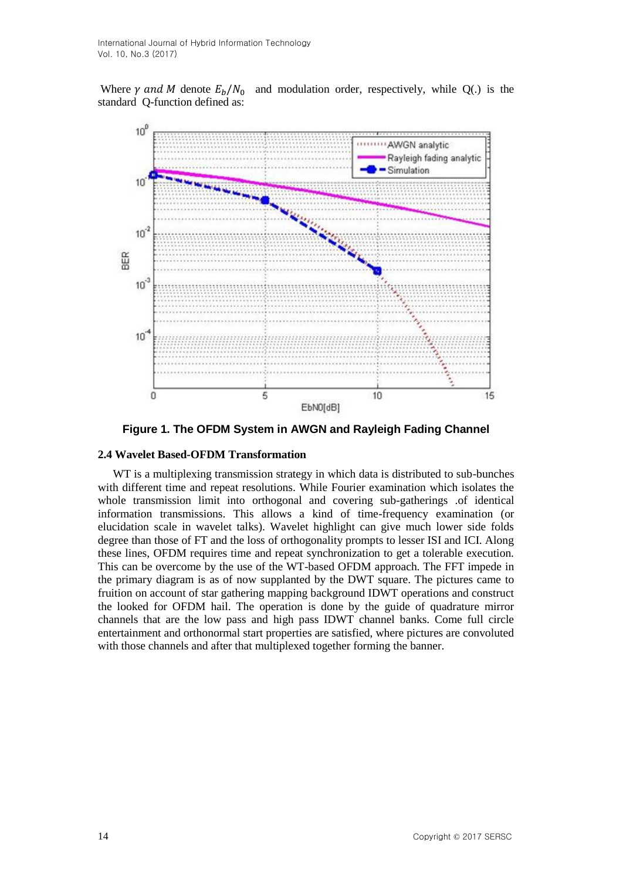Where  $\gamma$  and M denote  $E_h/N_0$  and modulation order, respectively, while Q(.) is the standard Q-function defined as:



**Figure 1. The OFDM System in AWGN and Rayleigh Fading Channel**

#### **2.4 Wavelet Based-OFDM Transformation**

WT is a multiplexing transmission strategy in which data is distributed to sub-bunches with different time and repeat resolutions. While Fourier examination which isolates the whole transmission limit into orthogonal and covering sub-gatherings .of identical information transmissions. This allows a kind of time-frequency examination (or elucidation scale in wavelet talks). Wavelet highlight can give much lower side folds degree than those of FT and the loss of orthogonality prompts to lesser ISI and ICI. Along these lines, OFDM requires time and repeat synchronization to get a tolerable execution. This can be overcome by the use of the WT-based OFDM approach. The FFT impede in the primary diagram is as of now supplanted by the DWT square. The pictures came to fruition on account of star gathering mapping background IDWT operations and construct the looked for OFDM hail. The operation is done by the guide of quadrature mirror channels that are the low pass and high pass IDWT channel banks. Come full circle entertainment and orthonormal start properties are satisfied, where pictures are convoluted with those channels and after that multiplexed together forming the banner.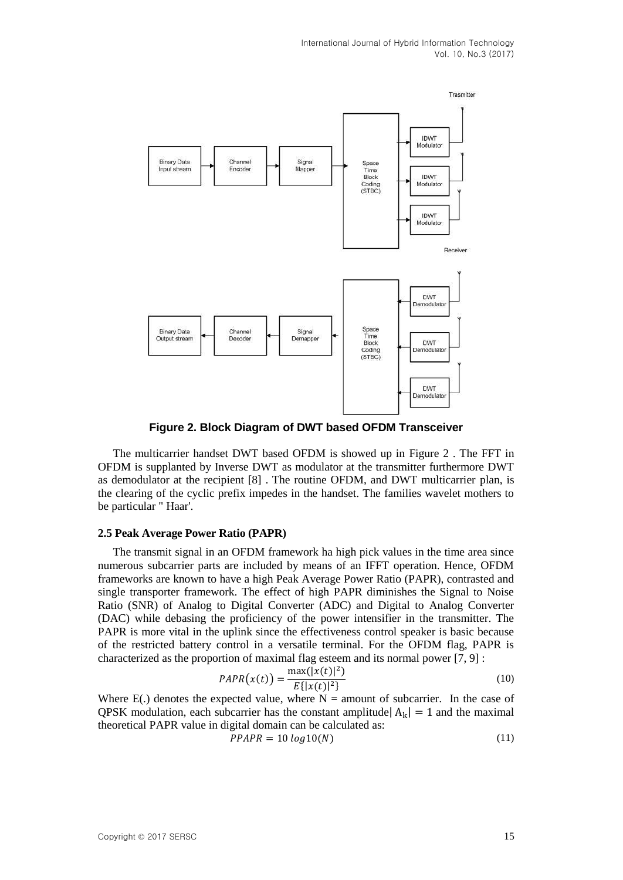

**Figure 2. Block Diagram of DWT based OFDM Transceiver**

The multicarrier handset DWT based OFDM is showed up in Figure 2 . The FFT in OFDM is supplanted by Inverse DWT as modulator at the transmitter furthermore DWT as demodulator at the recipient [8] . The routine OFDM, and DWT multicarrier plan, is the clearing of the cyclic prefix impedes in the handset. The families wavelet mothers to be particular " Haar'.

### **2.5 Peak Average Power Ratio (PAPR)**

The transmit signal in an OFDM framework ha high pick values in the time area since numerous subcarrier parts are included by means of an IFFT operation. Hence, OFDM frameworks are known to have a high Peak Average Power Ratio (PAPR), contrasted and single transporter framework. The effect of high PAPR diminishes the Signal to Noise Ratio (SNR) of Analog to Digital Converter (ADC) and Digital to Analog Converter (DAC) while debasing the proficiency of the power intensifier in the transmitter. The PAPR is more vital in the uplink since the effectiveness control speaker is basic because of the restricted battery control in a versatile terminal. For the OFDM flag, PAPR is characterized as the proportion of maximal flag esteem and its normal power [7, 9] :

$$
PAPR(x(t)) = \frac{\max(|x(t)|^2)}{E\{|x(t)|^2\}}
$$
\n(10)

Where  $E(.)$  denotes the expected value, where  $N =$  amount of subcarrier. In the case of QPSK modulation, each subcarrier has the constant amplitude  $|A_k| = 1$  and the maximal theoretical PAPR value in digital domain can be calculated as:

$$
PPAPR = 10\log 10(N) \tag{11}
$$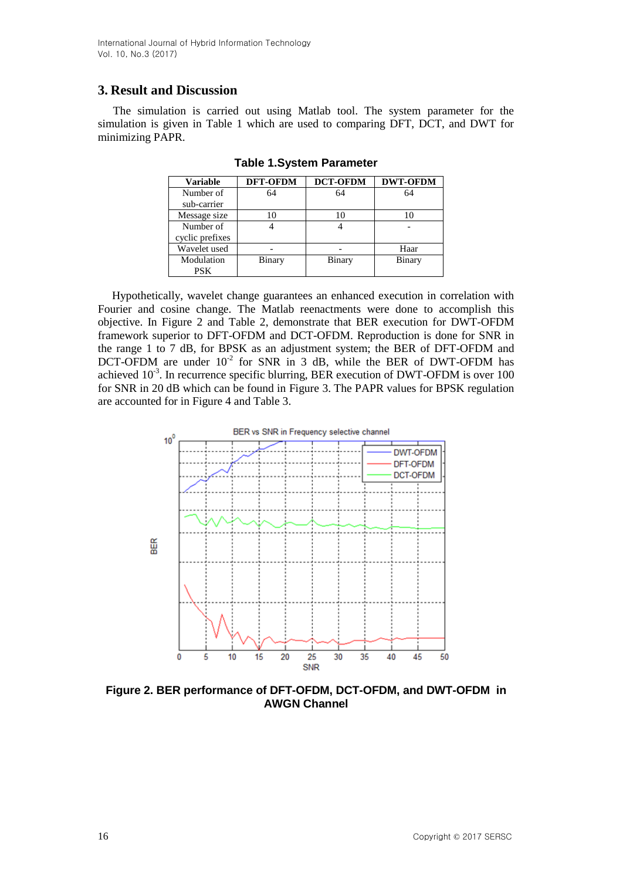International Journal of Hybrid Information Technology Vol. 10, No.3 (2017)

# **3. Result and Discussion**

The simulation is carried out using Matlab tool. The system parameter for the simulation is given in Table 1 which are used to comparing DFT, DCT, and DWT for minimizing PAPR.

| <b>Variable</b> | <b>DFT-OFDM</b> | <b>DCT-OFDM</b> | <b>DWT-OFDM</b> |
|-----------------|-----------------|-----------------|-----------------|
| Number of       | 64              | 64              | 64              |
| sub-carrier     |                 |                 |                 |
| Message size    | 10              |                 |                 |
| Number of       |                 |                 |                 |
| cyclic prefixes |                 |                 |                 |
| Wavelet used    |                 |                 | Haar            |
| Modulation      | Binary          | Binary          | Binary          |
| PSK.            |                 |                 |                 |

**Table 1.System Parameter**

Hypothetically, wavelet change guarantees an enhanced execution in correlation with Fourier and cosine change. The Matlab reenactments were done to accomplish this objective. In Figure 2 and Table 2, demonstrate that BER execution for DWT-OFDM framework superior to DFT-OFDM and DCT-OFDM. Reproduction is done for SNR in the range 1 to 7 dB, for BPSK as an adjustment system; the BER of DFT-OFDM and DCT-OFDM are under  $10^{-2}$  for SNR in 3 dB, while the BER of DWT-OFDM has achieved  $10^{-3}$ . In recurrence specific blurring, BER execution of DWT-OFDM is over 100 for SNR in 20 dB which can be found in Figure 3. The PAPR values for BPSK regulation are accounted for in Figure 4 and Table 3.



**Figure 2. BER performance of DFT-OFDM, DCT-OFDM, and DWT-OFDM in AWGN Channel**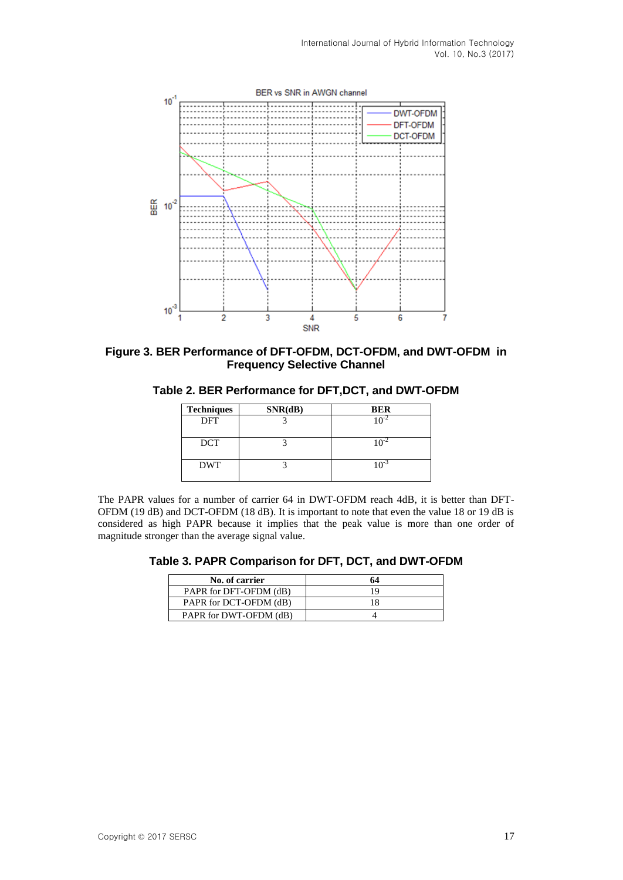

**Figure 3. BER Performance of DFT-OFDM, DCT-OFDM, and DWT-OFDM in Frequency Selective Channel**

**Table 2. BER Performance for DFT,DCT, and DWT-OFDM**

| <b>Techniques</b> | SNR(dB) | <b>BER</b> |
|-------------------|---------|------------|
| DFT               |         |            |
| <b>DCT</b>        |         |            |
| <b>DWT</b>        |         |            |

The PAPR values for a number of carrier 64 in DWT-OFDM reach 4dB, it is better than DFT-OFDM (19 dB) and DCT-OFDM (18 dB). It is important to note that even the value 18 or 19 dB is considered as high PAPR because it implies that the peak value is more than one order of magnitude stronger than the average signal value.

**Table 3. PAPR Comparison for DFT, DCT, and DWT-OFDM**

| No. of carrier         | 64 |
|------------------------|----|
| PAPR for DFT-OFDM (dB) | 19 |
| PAPR for DCT-OFDM (dB) | 18 |
| PAPR for DWT-OFDM (dB) |    |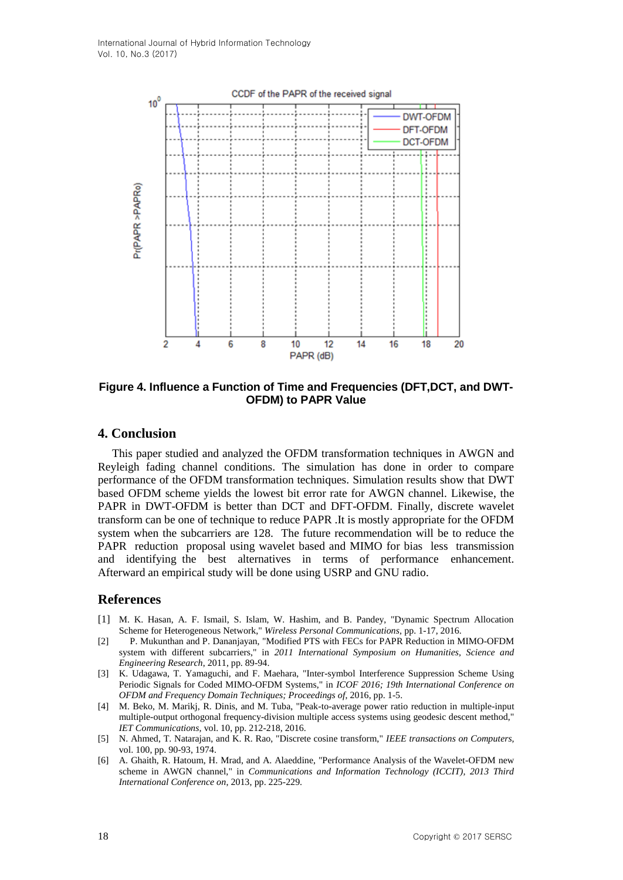

**Figure 4. Influence a Function of Time and Frequencies (DFT,DCT, and DWT-OFDM) to PAPR Value**

# **4. Conclusion**

This paper studied and analyzed the OFDM transformation techniques in AWGN and Reyleigh fading channel conditions. The simulation has done in order to compare performance of the OFDM transformation techniques. Simulation results show that DWT based OFDM scheme yields the lowest bit error rate for AWGN channel. Likewise, the PAPR in DWT-OFDM is better than DCT and DFT-OFDM. Finally, discrete wavelet transform can be one of technique to reduce PAPR .It is mostly appropriate for the OFDM system when the subcarriers are 128. The future recommendation will be to reduce the PAPR reduction proposal using wavelet based and MIMO for bias less transmission and identifying the best alternatives in terms of performance enhancement. Afterward an empirical study will be done using USRP and GNU radio.

# **References**

- <span id="page-7-0"></span>[1] M. K. Hasan, A. F. Ismail, S. Islam, W. Hashim, and B. Pandey, "Dynamic Spectrum Allocation Scheme for Heterogeneous Network," *Wireless Personal Communications,* pp. 1-17, 2016.
- [2] P. Mukunthan and P. Dananjayan, "Modified PTS with FECs for PAPR Reduction in MIMO-OFDM system with different subcarriers," in *2011 International Symposium on Humanities, Science and Engineering Research*, 2011, pp. 89-94.
- [3] K. Udagawa, T. Yamaguchi, and F. Maehara, "Inter-symbol Interference Suppression Scheme Using Periodic Signals for Coded MIMO-OFDM Systems," in *ICOF 2016; 19th International Conference on OFDM and Frequency Domain Techniques; Proceedings of*, 2016, pp. 1-5.
- [4] M. Beko, M. Marikj, R. Dinis, and M. Tuba, "Peak-to-average power ratio reduction in multiple-input multiple-output orthogonal frequency-division multiple access systems using geodesic descent method," *IET Communications,* vol. 10, pp. 212-218, 2016.
- [5] N. Ahmed, T. Natarajan, and K. R. Rao, "Discrete cosine transform," *IEEE transactions on Computers,*  vol. 100, pp. 90-93, 1974.
- [6] A. Ghaith, R. Hatoum, H. Mrad, and A. Alaeddine, "Performance Analysis of the Wavelet-OFDM new scheme in AWGN channel," in *Communications and Information Technology (ICCIT), 2013 Third International Conference on*, 2013, pp. 225-229.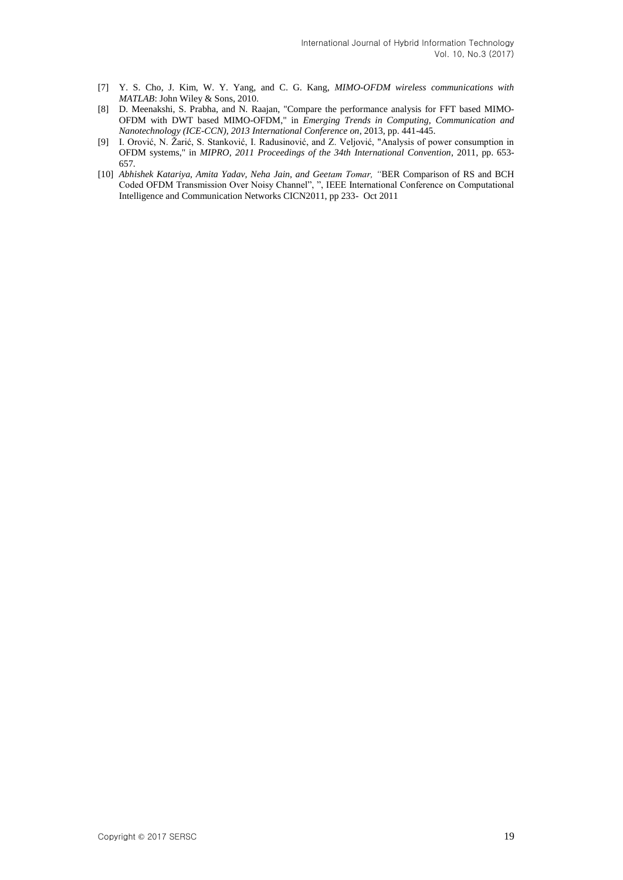- [7] Y. S. Cho, J. Kim, W. Y. Yang, and C. G. Kang, *MIMO-OFDM wireless communications with MATLAB*: John Wiley & Sons, 2010.
- [8] D. Meenakshi, S. Prabha, and N. Raajan, "Compare the performance analysis for FFT based MIMO-OFDM with DWT based MIMO-OFDM," in *Emerging Trends in Computing, Communication and Nanotechnology (ICE-CCN), 2013 International Conference on*, 2013, pp. 441-445.
- [9] I. Orović, N. Žarić, S. Stanković, I. Radusinović, and Z. Veljović, "Analysis of power consumption in OFDM systems," in *MIPRO, 2011 Proceedings of the 34th International Convention*, 2011, pp. 653- 657.
- [10] *Abhishek Katariya, Amita Yadav, Neha Jain, and Geetam Tomar, "*BER Comparison of RS and BCH Coded OFDM Transmission Over Noisy Channel", ", IEEE International Conference on Computational Intelligence and Communication Networks CICN2011, pp 233- Oct 2011